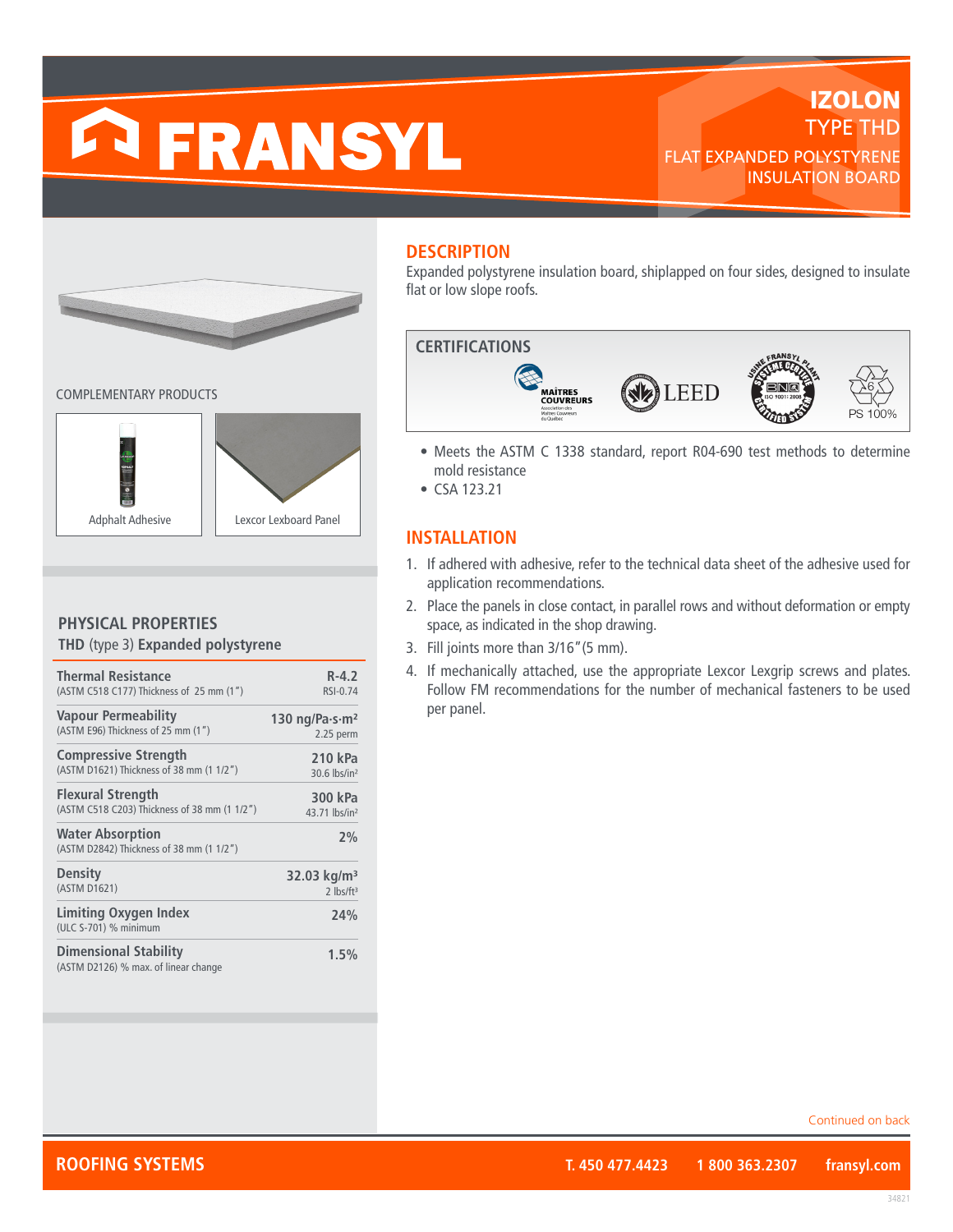# **ERANSYL**

# **IZOLON** TYPE THD FLAT EXPANDED POLYSTYRENE INSULATION BOARD



COMPLEMENTARY PRODUCTS



#### **PHYSICAL PROPERTIES THD** (type 3) **Expanded polystyrene**

| <b>Thermal Resistance</b>                                            | $R - 4.2$                                  |
|----------------------------------------------------------------------|--------------------------------------------|
| (ASTM C518 C177) Thickness of 25 mm (1")                             | RSI-0.74                                   |
| <b>Vapour Permeability</b>                                           | 130 ng/Pa $\cdot$ s $\cdot$ m <sup>2</sup> |
| (ASTM E96) Thickness of 25 mm (1")                                   | 2.25 perm                                  |
| <b>Compressive Strength</b>                                          | 210 kPa                                    |
| (ASTM D1621) Thickness of 38 mm (1 1/2")                             | 30.6 lbs/in <sup>2</sup>                   |
| <b>Flexural Strength</b>                                             | 300 kPa                                    |
| (ASTM C518 C203) Thickness of 38 mm (1 1/2")                         | 43.71 lbs/in <sup>2</sup>                  |
| <b>Water Absorption</b><br>(ASTM D2842) Thickness of 38 mm (1 1/2")  | 2%                                         |
| <b>Density</b>                                                       | 32.03 kg/m <sup>3</sup>                    |
| (ASTM D1621)                                                         | $2$ lbs/ft <sup>3</sup>                    |
| <b>Limiting Oxygen Index</b><br>(ULC S-701) % minimum                | 24%                                        |
| <b>Dimensional Stability</b><br>(ASTM D2126) % max. of linear change | 1.5%                                       |

# **DESCRIPTION**

Expanded polystyrene insulation board, shiplapped on four sides, designed to insulate flat or low slope roofs.



- Meets the ASTM C 1338 standard, report R04-690 test methods to determine mold resistance
- CSA 123.21

# **INSTALLATION**

- 1. If adhered with adhesive, refer to the technical data sheet of the adhesive used for application recommendations.
- 2. Place the panels in close contact, in parallel rows and without deformation or empty space, as indicated in the shop drawing.
- 3. Fill joints more than 3/16"(5 mm).
- 4. If mechanically attached, use the appropriate Lexcor Lexgrip screws and plates. Follow FM recommendations for the number of mechanical fasteners to be used per panel.

Continued on back